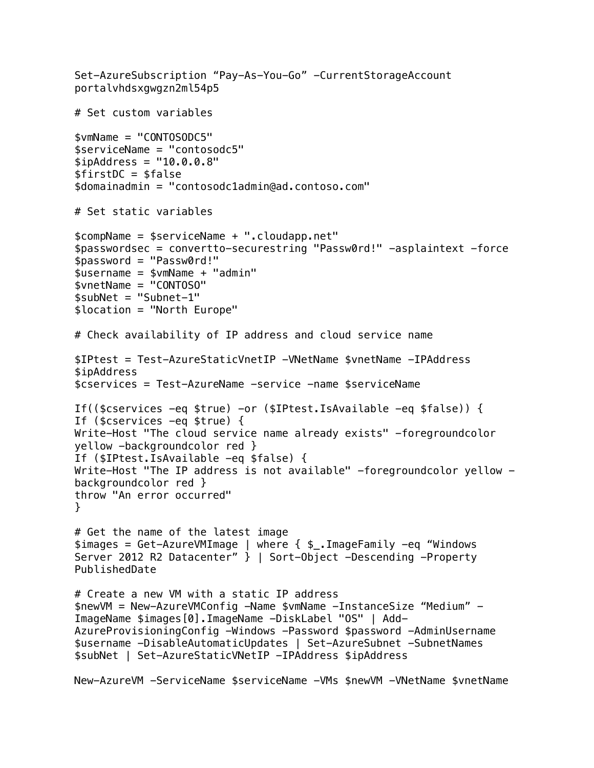```
Set-AzureSubscription "Pay-As-You-Go" -CurrentStorageAccount 
portalvhdsxgwgzn2ml54p5
# Set custom variables
$vmName = "CONTOSODC5"
$serviceName = "contosodc5"
$ipAddress = "10.0.0.8"$firstDC = $false$domainadmin = "contosodc1admin@ad.contoso.com"
# Set static variables
$compName = $serviceName + ".cloudapp.net"
$passwordsec = convertto-securestring "Passw0rd!" -asplaintext -force
$password = "Passw0rd!"
$username = $vmName + "admin"
$vnetName = "CONTOSO"
$subNet = "Subnet-1"
$location = "North Europe"
# Check availability of IP address and cloud service name
$IPtest = Test-AzureStaticVnetIP -VNetName $vnetName -IPAddress 
$ipAddress
$cservices = Test-AzureName -service -name $serviceName
If(($cservices -eq $true) -or ($IPtest.IsAvailable -eq $false)) {
If ($cservices -eq $true) {
Write-Host "The cloud service name already exists" -foregroundcolor
yellow -backgroundcolor red }
If ($IPtest.IsAvailable -eq $false) {
Write-Host "The IP address is not available" -foregroundcolor yellow -
backgroundcolor red }
throw "An error occurred"
}
# Get the name of the latest image
$images = Get-AzureVMImage | where { $_.ImageFamily -eq "Windows 
Server 2012 R2 Datacenter" } | Sort-Object -Descending -Property
PublishedDate
# Create a new VM with a static IP address
$newVM = New-AzureVMConfig -Name $vmName -InstanceSize "Medium" -
ImageName $images[0].ImageName -DiskLabel "OS" | Add-
AzureProvisioningConfig -Windows -Password $password -AdminUsername 
$username -DisableAutomaticUpdates | Set-AzureSubnet -SubnetNames 
$subNet | Set-AzureStaticVNetIP -IPAddress $ipAddress
New-AzureVM -ServiceName $serviceName -VMs $newVM -VNetName $vnetName
```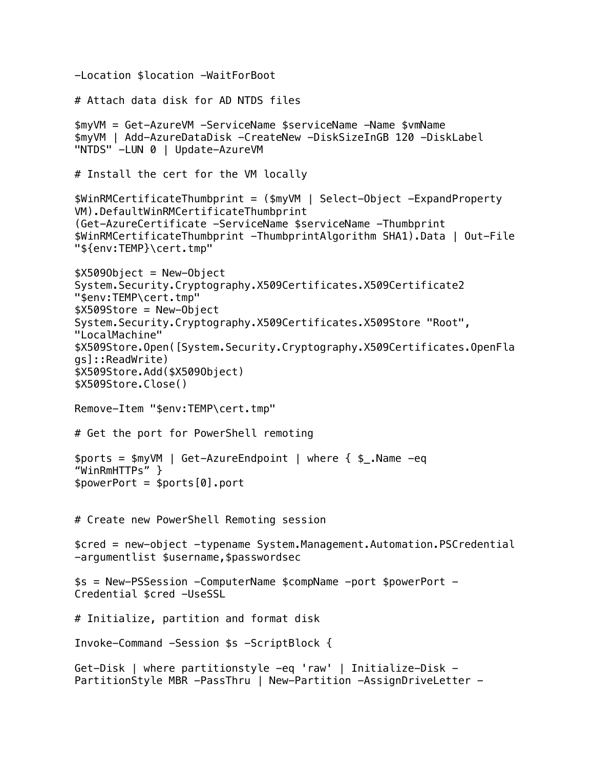```
-Location $location -WaitForBoot
# Attach data disk for AD NTDS files
$myVM = Get-AzureVM -ServiceName $serviceName -Name $vmName
$myVM | Add-AzureDataDisk -CreateNew -DiskSizeInGB 120 -DiskLabel 
"NTDS" -LUN 0 | Update-AzureVM
# Install the cert for the VM locally
$WinRMCertificateThumbprint = ($myVM | Select-Object -ExpandProperty 
VM).DefaultWinRMCertificateThumbprint
(Get-AzureCertificate -ServiceName $serviceName -Thumbprint 
$WinRMCertificateThumbprint -ThumbprintAlgorithm SHA1).Data | Out-File 
"${env:TEMP}\cert.tmp"
$X509Object = New-Object 
System.Security.Cryptography.X509Certificates.X509Certificate2 
"$env:TEMP\cert.tmp"
$X509Store = New-Object 
System.Security.Cryptography.X509Certificates.X509Store "Root", 
"LocalMachine"
$X509Store.Open([System.Security.Cryptography.X509Certificates.OpenFla
gs]::ReadWrite)
$X509Store.Add($X509Object)
$X509Store.Close()
Remove-Item "$env:TEMP\cert.tmp"
# Get the port for PowerShell remoting
$ports = $myVM | Get-AzureEndpoint | where { $_.Name -eq 
"WinRmHTTPs" }
$powerPort = $ports[0].port# Create new PowerShell Remoting session
$cred = new-object -typename System.Management.Automation.PSCredential 
-argumentlist $username,$passwordsec
$s = New-PSSession -ComputerName $compName -port $powerPort -
Credential $cred -UseSSL
# Initialize, partition and format disk
Invoke-Command -Session $s -ScriptBlock {
Get-Disk | where partitionstyle -eq 'raw' | Initialize-Disk -
PartitionStyle MBR -PassThru | New-Partition -AssignDriveLetter -
```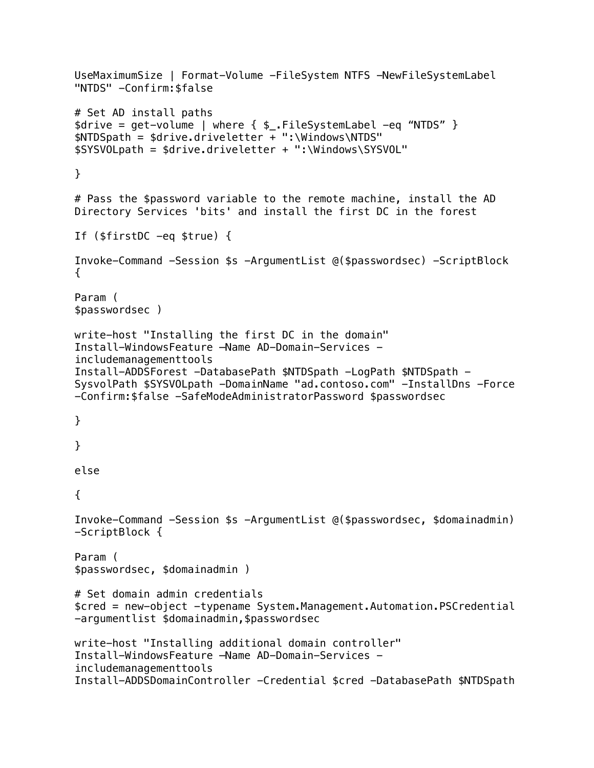```
UseMaximumSize | Format-Volume -FileSystem NTFS -NewFileSystemLabel 
"NTDS" -Confirm:$false
# Set AD install paths
$drive = get-volume | where { $_.FileSystemLabel -eq "NTDS" }
$NTDSpath = $drive.driveletter + ":\Windows\NTDS"
$SYSVOLpath = $drive.driveletter + ":\Windows\SYSVOL"
}
# Pass the $password variable to the remote machine, install the AD 
Directory Services 'bits' and install the first DC in the forest
If ($firstDC -eq $true) { 
Invoke-Command -Session $s -ArgumentList @($passwordsec) -ScriptBlock 
{
Param (
$passwordsec )
write-host "Installing the first DC in the domain"
Install-WindowsFeature –Name AD-Domain-Services -
includemanagementtools
Install-ADDSForest -DatabasePath $NTDSpath -LogPath $NTDSpath -
SysvolPath $SYSVOLpath -DomainName "ad.contoso.com" -InstallDns -Force 
-Confirm:$false -SafeModeAdministratorPassword $passwordsec
}
}
else 
{
Invoke-Command -Session $s -ArgumentList @($passwordsec, $domainadmin) 
-ScriptBlock {
Param (
$passwordsec, $domainadmin )
# Set domain admin credentials
$cred = new-object -typename System.Management.Automation.PSCredential 
-argumentlist $domainadmin, $passwordsec
write-host "Installing additional domain controller"
Install-WindowsFeature –Name AD-Domain-Services -
includemanagementtools
Install-ADDSDomainController -Credential $cred -DatabasePath $NTDSpath
```